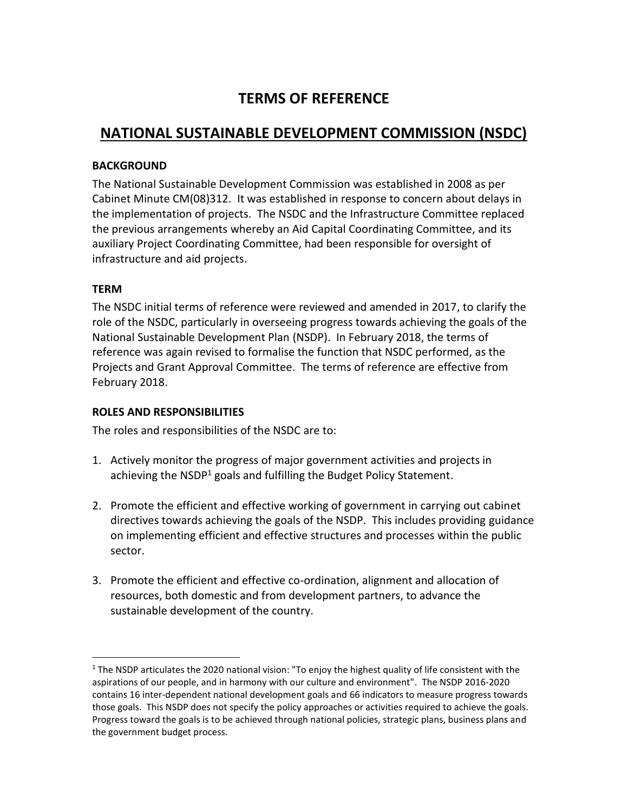# **TERMS OF REFERENCE**

# **NATIONAL SUSTAINABLE DEVELOPMENT COMMISSION (NSDC)**

## **BACKGROUND**

The National Sustainable Development Commission was established in 2008 as per Cabinet Minute CM(08)312. It was established in response to concern about delays in the implementation of projects. The NSDC and the Infrastructure Committee replaced the previous arrangements whereby an Aid Capital Coordinating Committee, and its auxiliary Project Coordinating Committee, had been responsible for oversight of infrastructure and aid projects.

## **TERM**

 $\overline{a}$ 

The NSDC initial terms of reference were reviewed and amended in 2017, to clarify the role of the NSDC, particularly in overseeing progress towards achieving the goals of the National Sustainable Development Plan (NSDP). In February 2018, the terms of reference was again revised to formalise the function that NSDC performed, as the Projects and Grant Approval Committee. The terms of reference are effective from February 2018.

## **ROLES AND RESPONSIBILITIES**

The roles and responsibilities of the NSDC are to:

- 1. Actively monitor the progress of major government activities and projects in achieving the  $NSDP<sup>1</sup>$  goals and fulfilling the Budget Policy Statement.
- 2. Promote the efficient and effective working of government in carrying out cabinet directives towards achieving the goals of the NSDP. This includes providing guidance on implementing efficient and effective structures and processes within the public sector.
- 3. Promote the efficient and effective co-ordination, alignment and allocation of resources, both domestic and from development partners, to advance the sustainable development of the country.

<sup>&</sup>lt;sup>1</sup> The NSDP articulates the 2020 national vision: "To enjoy the highest quality of life consistent with the aspirations of our people, and in harmony with our culture and environment". The NSDP 2016-2020 contains 16 inter-dependent national development goals and 66 indicators to measure progress towards those goals. This NSDP does not specify the policy approaches or activities required to achieve the goals. Progress toward the goals is to be achieved through national policies, strategic plans, business plans and the government budget process.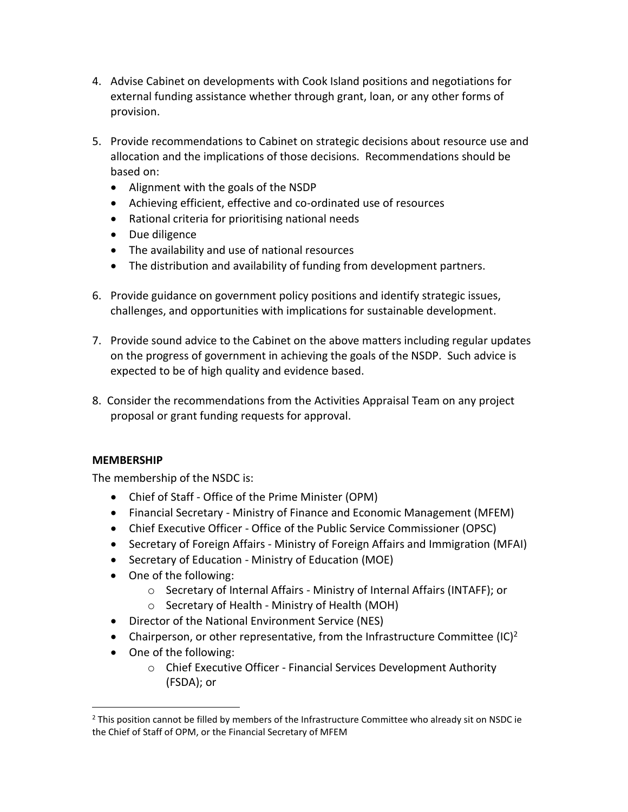- 4. Advise Cabinet on developments with Cook Island positions and negotiations for external funding assistance whether through grant, loan, or any other forms of provision.
- 5. Provide recommendations to Cabinet on strategic decisions about resource use and allocation and the implications of those decisions. Recommendations should be based on:
	- Alignment with the goals of the NSDP
	- Achieving efficient, effective and co-ordinated use of resources
	- Rational criteria for prioritising national needs
	- Due diligence
	- The availability and use of national resources
	- The distribution and availability of funding from development partners.
- 6. Provide guidance on government policy positions and identify strategic issues, challenges, and opportunities with implications for sustainable development.
- 7. Provide sound advice to the Cabinet on the above matters including regular updates on the progress of government in achieving the goals of the NSDP. Such advice is expected to be of high quality and evidence based.
- 8. Consider the recommendations from the Activities Appraisal Team on any project proposal or grant funding requests for approval.

## **MEMBERSHIP**

 $\overline{a}$ 

The membership of the NSDC is:

- Chief of Staff Office of the Prime Minister (OPM)
- Financial Secretary Ministry of Finance and Economic Management (MFEM)
- Chief Executive Officer Office of the Public Service Commissioner (OPSC)
- Secretary of Foreign Affairs Ministry of Foreign Affairs and Immigration (MFAI)
- Secretary of Education Ministry of Education (MOE)
- One of the following:
	- o Secretary of Internal Affairs Ministry of Internal Affairs (INTAFF); or
	- o Secretary of Health Ministry of Health (MOH)
- Director of the National Environment Service (NES)
- Chairperson, or other representative, from the Infrastructure Committee (IC)<sup>2</sup>
- One of the following:
	- o Chief Executive Officer Financial Services Development Authority (FSDA); or

 $<sup>2</sup>$  This position cannot be filled by members of the Infrastructure Committee who already sit on NSDC ie</sup> the Chief of Staff of OPM, or the Financial Secretary of MFEM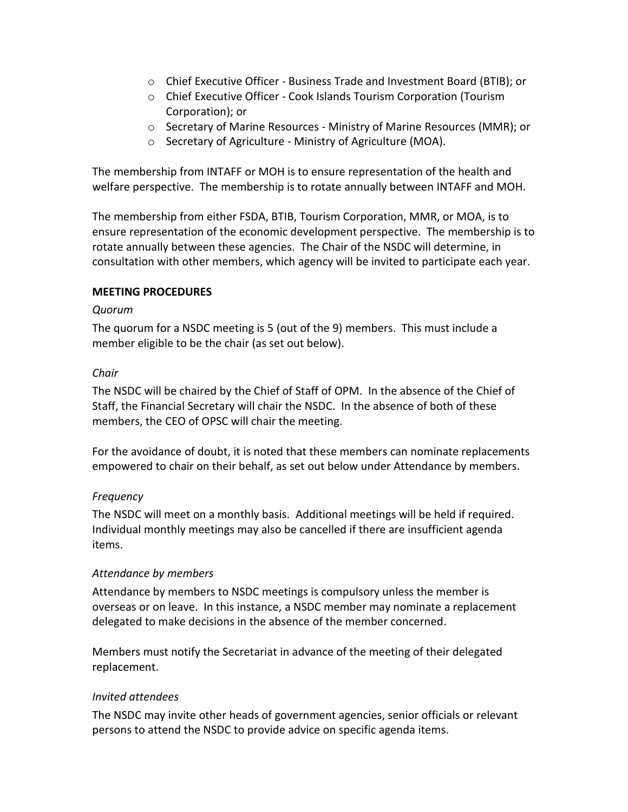- o Chief Executive Officer Business Trade and Investment Board (BTIB); or
- o Chief Executive Officer Cook Islands Tourism Corporation (Tourism Corporation); or
- o Secretary of Marine Resources Ministry of Marine Resources (MMR); or
- o Secretary of Agriculture Ministry of Agriculture (MOA).

The membership from INTAFF or MOH is to ensure representation of the health and welfare perspective. The membership is to rotate annually between INTAFF and MOH.

The membership from either FSDA, BTIB, Tourism Corporation, MMR, or MOA, is to ensure representation of the economic development perspective. The membership is to rotate annually between these agencies. The Chair of the NSDC will determine, in consultation with other members, which agency will be invited to participate each year.

#### **MEETING PROCEDURES**

#### *Quorum*

The quorum for a NSDC meeting is 5 (out of the 9) members. This must include a member eligible to be the chair (as set out below).

#### *Chair*

The NSDC will be chaired by the Chief of Staff of OPM. In the absence of the Chief of Staff, the Financial Secretary will chair the NSDC. In the absence of both of these members, the CEO of OPSC will chair the meeting.

For the avoidance of doubt, it is noted that these members can nominate replacements empowered to chair on their behalf, as set out below under Attendance by members.

#### *Frequency*

The NSDC will meet on a monthly basis. Additional meetings will be held if required. Individual monthly meetings may also be cancelled if there are insufficient agenda items.

#### *Attendance by members*

Attendance by members to NSDC meetings is compulsory unless the member is overseas or on leave. In this instance, a NSDC member may nominate a replacement delegated to make decisions in the absence of the member concerned.

Members must notify the Secretariat in advance of the meeting of their delegated replacement.

#### *Invited attendees*

The NSDC may invite other heads of government agencies, senior officials or relevant persons to attend the NSDC to provide advice on specific agenda items.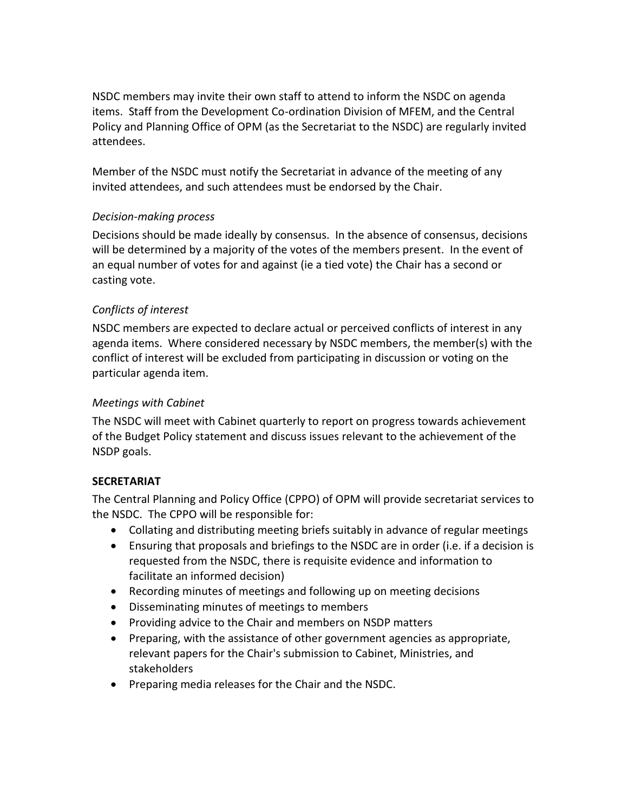NSDC members may invite their own staff to attend to inform the NSDC on agenda items. Staff from the Development Co-ordination Division of MFEM, and the Central Policy and Planning Office of OPM (as the Secretariat to the NSDC) are regularly invited attendees.

Member of the NSDC must notify the Secretariat in advance of the meeting of any invited attendees, and such attendees must be endorsed by the Chair.

## *Decision-making process*

Decisions should be made ideally by consensus. In the absence of consensus, decisions will be determined by a majority of the votes of the members present. In the event of an equal number of votes for and against (ie a tied vote) the Chair has a second or casting vote.

# *Conflicts of interest*

NSDC members are expected to declare actual or perceived conflicts of interest in any agenda items. Where considered necessary by NSDC members, the member(s) with the conflict of interest will be excluded from participating in discussion or voting on the particular agenda item.

# *Meetings with Cabinet*

The NSDC will meet with Cabinet quarterly to report on progress towards achievement of the Budget Policy statement and discuss issues relevant to the achievement of the NSDP goals.

# **SECRETARIAT**

The Central Planning and Policy Office (CPPO) of OPM will provide secretariat services to the NSDC. The CPPO will be responsible for:

- Collating and distributing meeting briefs suitably in advance of regular meetings
- Ensuring that proposals and briefings to the NSDC are in order (i.e. if a decision is requested from the NSDC, there is requisite evidence and information to facilitate an informed decision)
- Recording minutes of meetings and following up on meeting decisions
- Disseminating minutes of meetings to members
- Providing advice to the Chair and members on NSDP matters
- Preparing, with the assistance of other government agencies as appropriate, relevant papers for the Chair's submission to Cabinet, Ministries, and stakeholders
- Preparing media releases for the Chair and the NSDC.